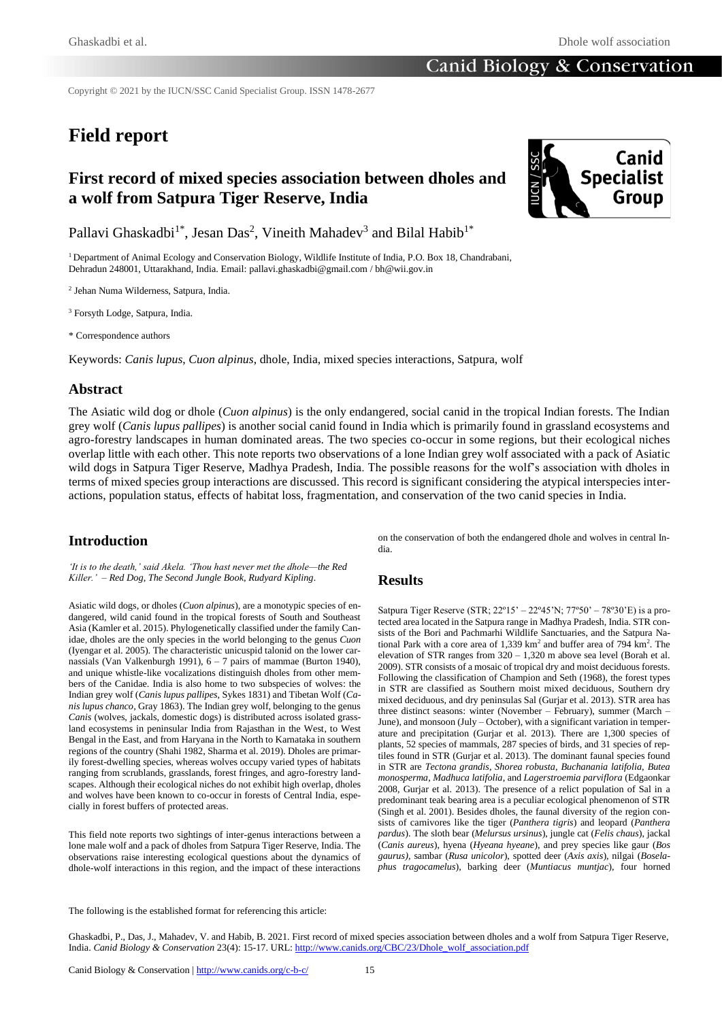Copyright © 2021 by the IUCN/SSC Canid Specialist Group. ISSN 1478-2677

# **Field report**

## **First record of mixed species association between dholes and a wolf from Satpura Tiger Reserve, India**



Pallavi Ghaskadbi<sup>1\*</sup>, Jesan Das<sup>2</sup>, Vineith Mahadev<sup>3</sup> and Bilal Habib<sup>1\*</sup>

<sup>1</sup> Department of Animal Ecology and Conservation Biology, Wildlife Institute of India, P.O. Box 18, Chandrabani, Dehradun 248001, Uttarakhand, India. Email: pallavi.ghaskadbi@gmail.com / bh@wii.gov.in

2 Jehan Numa Wilderness, Satpura, India.

<sup>3</sup> Forsyth Lodge, Satpura, India.

\* Correspondence authors

Keywords: *Canis lupus*, *Cuon alpinus*, dhole, India, mixed species interactions, Satpura, wolf

#### **Abstract**

The Asiatic wild dog or dhole (*Cuon alpinus*) is the only endangered, social canid in the tropical Indian forests. The Indian grey wolf (*Canis lupus pallipes*) is another social canid found in India which is primarily found in grassland ecosystems and agro-forestry landscapes in human dominated areas. The two species co-occur in some regions, but their ecological niches overlap little with each other. This note reports two observations of a lone Indian grey wolf associated with a pack of Asiatic wild dogs in Satpura Tiger Reserve, Madhya Pradesh, India. The possible reasons for the wolf's association with dholes in terms of mixed species group interactions are discussed. This record is significant considering the atypical interspecies interactions, population status, effects of habitat loss, fragmentation, and conservation of the two canid species in India.

### **Introduction**

*'It is to the death,' said Akela. 'Thou hast never met the dhole—the Red Killer.' – Red Dog, The Second Jungle Book, Rudyard Kipling.*

Asiatic wild dogs, or dholes (*Cuon alpinus*), are a monotypic species of endangered, wild canid found in the tropical forests of South and Southeast Asia (Kamler et al. 2015). Phylogenetically classified under the family Canidae, dholes are the only species in the world belonging to the genus *Cuon* (Iyengar et al. 2005). The characteristic unicuspid talonid on the lower carnassials (Van Valkenburgh 1991), 6 – 7 pairs of mammae (Burton 1940), and unique whistle-like vocalizations distinguish dholes from other members of the Canidae. India is also home to two subspecies of wolves: the Indian grey wolf (*Canis lupus pallipes*, Sykes 1831) and Tibetan Wolf (*Canis lupus chanco*, Gray 1863). The Indian grey wolf, belonging to the genus *Canis* (wolves, jackals, domestic dogs) is distributed across isolated grassland ecosystems in peninsular India from Rajasthan in the West, to West Bengal in the East, and from Haryana in the North to Karnataka in southern regions of the country (Shahi 1982, Sharma et al. 2019). Dholes are primarily forest-dwelling species, whereas wolves occupy varied types of habitats ranging from scrublands, grasslands, forest fringes, and agro-forestry landscapes. Although their ecological niches do not exhibit high overlap, dholes and wolves have been known to co-occur in forests of Central India, especially in forest buffers of protected areas.

This field note reports two sightings of inter-genus interactions between a lone male wolf and a pack of dholes from Satpura Tiger Reserve, India. The observations raise interesting ecological questions about the dynamics of dhole-wolf interactions in this region, and the impact of these interactions

on the conservation of both the endangered dhole and wolves in central India.

#### **Results**

Satpura Tiger Reserve (STR; 22º15' – 22º45'N; 77º50' – 78º30'E) is a protected area located in the Satpura range in Madhya Pradesh, India. STR consists of the Bori and Pachmarhi Wildlife Sanctuaries, and the Satpura National Park with a core area of 1,339 km<sup>2</sup> and buffer area of 794 km<sup>2</sup>. The elevation of STR ranges from 320 – 1,320 m above sea level (Borah et al. 2009). STR consists of a mosaic of tropical dry and moist deciduous forests. Following the classification of Champion and Seth (1968), the forest types in STR are classified as Southern moist mixed deciduous, Southern dry mixed deciduous, and dry peninsulas Sal (Gurjar et al. 2013). STR area has three distinct seasons: winter (November – February), summer (March – June), and monsoon (July – October), with a significant variation in temperature and precipitation (Gurjar et al. 2013). There are 1,300 species of plants, 52 species of mammals, 287 species of birds, and 31 species of reptiles found in STR (Gurjar et al. 2013). The dominant faunal species found in STR are *Tectona grandis*, *Shorea robusta*, *Buchanania latifolia*, *Butea monosperma*, *Madhuca latifolia*, and *Lagerstroemia parviflora* (Edgaonkar 2008, Gurjar et al. 2013). The presence of a relict population of Sal in a predominant teak bearing area is a peculiar ecological phenomenon of STR (Singh et al. 2001). Besides dholes, the faunal diversity of the region consists of carnivores like the tiger (*Panthera tigris*) and leopard (*Panthera pardus*). The sloth bear (*Melursus ursinus*), jungle cat (*Felis chaus*), jackal (*Canis aureus*), hyena (*Hyeana hyeane*), and prey species like gaur (*Bos gaurus),* sambar (*Rusa unicolor*), spotted deer (*Axis axis*), nilgai (*Boselaphus tragocamelus*), barking deer (*Muntiacus muntjac*), four horned

Ghaskadbi, P., Das, J., Mahadev, V. and Habib, B. 2021. First record of mixed species association between dholes and a wolf from Satpura Tiger Reserve, India. *Canid Biology & Conservation* 23(4): 15-17. URL: http://www.canids.org/CBC/23/Dhole\_wolf\_association.pdf

The following is the established format for referencing this article: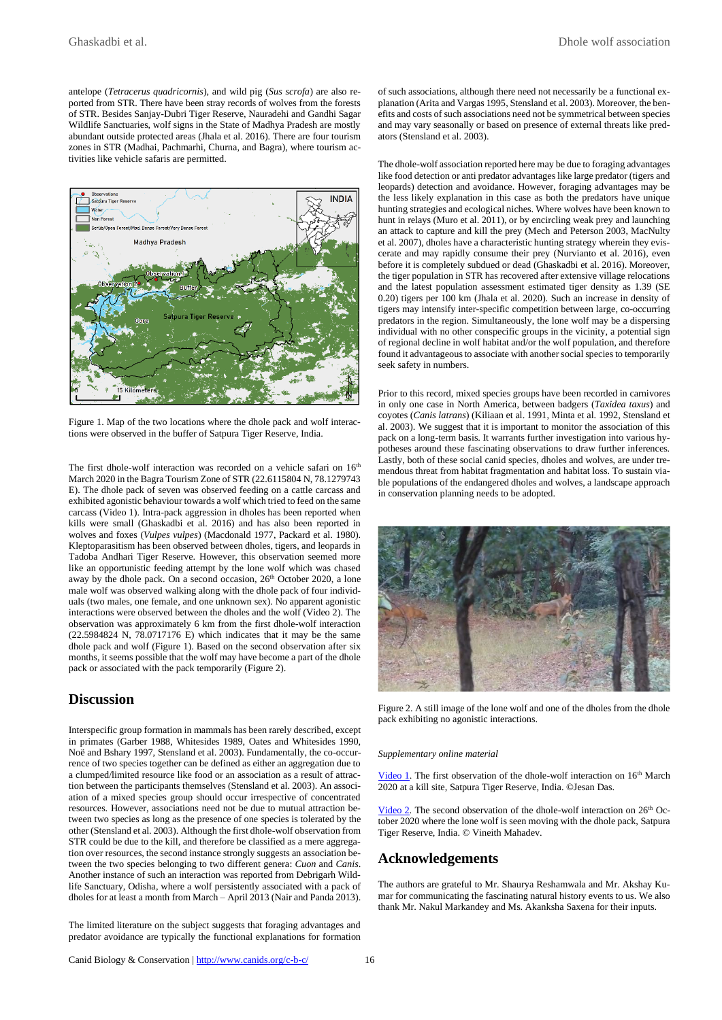antelope (*Tetracerus quadricornis*), and wild pig (*Sus scrofa*) are also reported from STR. There have been stray records of wolves from the forests of STR. Besides Sanjay-Dubri Tiger Reserve, Nauradehi and Gandhi Sagar Wildlife Sanctuaries, wolf signs in the State of Madhya Pradesh are mostly abundant outside protected areas (Jhala et al. 2016). There are four tourism zones in STR (Madhai, Pachmarhi, Churna, and Bagra), where tourism activities like vehicle safaris are permitted.



Figure 1. Map of the two locations where the dhole pack and wolf interactions were observed in the buffer of Satpura Tiger Reserve, India.

The first dhole-wolf interaction was recorded on a vehicle safari on  $16<sup>th</sup>$ March 2020 in the Bagra Tourism Zone of STR (22.6115804 N, 78.1279743 E). The dhole pack of seven was observed feeding on a cattle carcass and exhibited agonistic behaviour towards a wolf which tried to feed on the same carcass (Video 1). Intra-pack aggression in dholes has been reported when kills were small (Ghaskadbi et al. 2016) and has also been reported in wolves and foxes (*Vulpes vulpes*) (Macdonald 1977, Packard et al. 1980). Kleptoparasitism has been observed between dholes, tigers, and leopards in Tadoba Andhari Tiger Reserve. However, this observation seemed more like an opportunistic feeding attempt by the lone wolf which was chased away by the dhole pack. On a second occasion, 26<sup>th</sup> October 2020, a lone male wolf was observed walking along with the dhole pack of four individuals (two males, one female, and one unknown sex). No apparent agonistic interactions were observed between the dholes and the wolf (Video 2). The observation was approximately 6 km from the first dhole-wolf interaction (22.5984824 N, 78.0717176 E) which indicates that it may be the same dhole pack and wolf (Figure 1). Based on the second observation after six months, it seems possible that the wolf may have become a part of the dhole pack or associated with the pack temporarily (Figure 2).

#### **Discussion**

Interspecific group formation in mammals has been rarely described, except in primates (Garber 1988, Whitesides 1989, Oates and Whitesides 1990, Noë and Bshary 1997, Stensland et al. 2003). Fundamentally, the co-occurrence of two species together can be defined as either an aggregation due to a clumped/limited resource like food or an association as a result of attraction between the participants themselves (Stensland et al. 2003). An association of a mixed species group should occur irrespective of concentrated resources. However, associations need not be due to mutual attraction between two species as long as the presence of one species is tolerated by the other (Stensland et al. 2003). Although the first dhole-wolf observation from STR could be due to the kill, and therefore be classified as a mere aggregation over resources, the second instance strongly suggests an association between the two species belonging to two different genera: *Cuon* and *Canis*. Another instance of such an interaction was reported from Debrigarh Wildlife Sanctuary, Odisha, where a wolf persistently associated with a pack of dholes for at least a month from March – April 2013 (Nair and Panda 2013).

The limited literature on the subject suggests that foraging advantages and predator avoidance are typically the functional explanations for formation of such associations, although there need not necessarily be a functional explanation (Arita and Vargas 1995, Stensland et al. 2003). Moreover, the benefits and costs of such associations need not be symmetrical between species and may vary seasonally or based on presence of external threats like predators (Stensland et al. 2003).

The dhole-wolf association reported here may be due to foraging advantages like food detection or anti predator advantages like large predator (tigers and leopards) detection and avoidance. However, foraging advantages may be the less likely explanation in this case as both the predators have unique hunting strategies and ecological niches. Where wolves have been known to hunt in relays (Muro et al. 2011), or by encircling weak prey and launching an attack to capture and kill the prey (Mech and Peterson 2003, MacNulty et al. 2007), dholes have a characteristic hunting strategy wherein they eviscerate and may rapidly consume their prey (Nurvianto et al. 2016), even before it is completely subdued or dead (Ghaskadbi et al. 2016). Moreover, the tiger population in STR has recovered after extensive village relocations and the latest population assessment estimated tiger density as 1.39 (SE 0.20) tigers per 100 km (Jhala et al. 2020). Such an increase in density of tigers may intensify inter-specific competition between large, co-occurring predators in the region. Simultaneously, the lone wolf may be a dispersing individual with no other conspecific groups in the vicinity, a potential sign of regional decline in wolf habitat and/or the wolf population, and therefore found it advantageous to associate with another social species to temporarily seek safety in numbers.

Prior to this record, mixed species groups have been recorded in carnivores in only one case in North America, between badgers (*Taxidea taxus*) and coyotes (*Canis latrans*) (Kiliaan et al. 1991, Minta et al. 1992, Stensland et al. 2003). We suggest that it is important to monitor the association of this pack on a long-term basis. It warrants further investigation into various hypotheses around these fascinating observations to draw further inferences. Lastly, both of these social canid species, dholes and wolves, are under tremendous threat from habitat fragmentation and habitat loss. To sustain viable populations of the endangered dholes and wolves, a landscape approach in conservation planning needs to be adopted.



Figure 2. A still image of the lone wolf and one of the dholes from the dhole pack exhibiting no agonistic interactions.

#### *Supplementary online material*

Video 1. The first observation of the dhole-wolf interaction on 16<sup>th</sup> March 2020 at a kill site, Satpura Tiger Reserve, India. ©Jesan Das.

Video 2. The second observation of the dhole-wolf interaction on  $26<sup>th</sup>$  October 2020 where the lone wolf is seen moving with the dhole pack, Satpura Tiger Reserve, India. © Vineith Mahadev.

#### **Acknowledgements**

The authors are grateful to Mr. Shaurya Reshamwala and Mr. Akshay Kumar for communicating the fascinating natural history events to us. We also thank Mr. Nakul Markandey and Ms. Akanksha Saxena for their inputs.